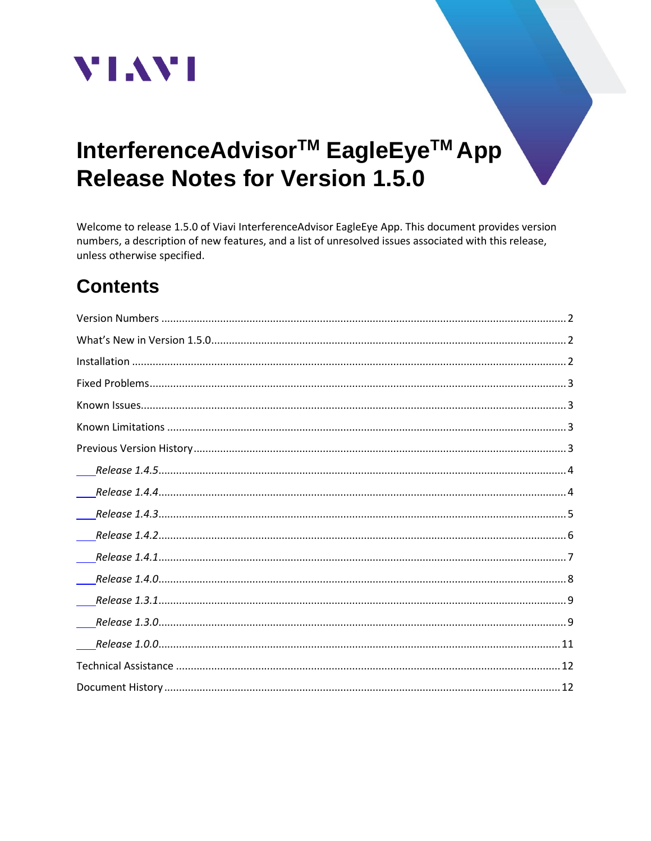

# InterferenceAdvisor<sup>™</sup> EagleEye<sup>™</sup> App **Release Notes for Version 1.5.0**

Welcome to release 1.5.0 of Viavi InterferenceAdvisor EagleEye App. This document provides version numbers, a description of new features, and a list of unresolved issues associated with this release, unless otherwise specified.

# **Contents**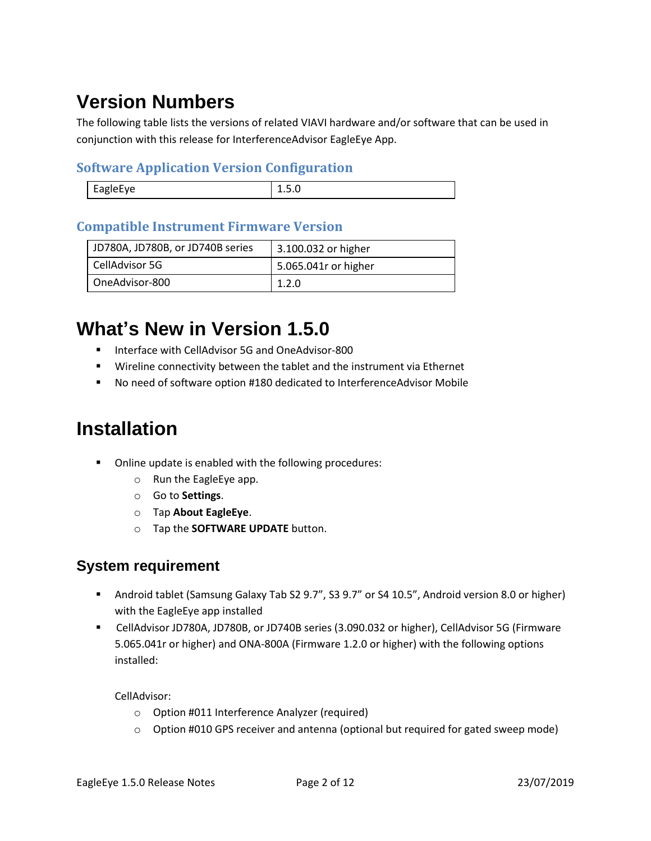# <span id="page-1-0"></span>**Version Numbers**

The following table lists the versions of related VIAVI hardware and/or software that can be used in conjunction with this release for InterferenceAdvisor EagleEye App.

#### **Software Application Version Configuration**

| $\mathbf{v}$ | - -    |
|--------------|--------|
| $-10 -$      | $\sim$ |

#### **Compatible Instrument Firmware Version**

| JD780A, JD780B, or JD740B series | 3.100.032 or higher  |
|----------------------------------|----------------------|
| CellAdvisor 5G                   | 5.065.041r or higher |
| OneAdvisor-800                   | 1.2.0                |

## <span id="page-1-1"></span>**What's New in Version 1.5.0**

- Interface with CellAdvisor 5G and OneAdvisor-800
- Wireline connectivity between the tablet and the instrument via Ethernet
- No need of software option #180 dedicated to InterferenceAdvisor Mobile

## <span id="page-1-2"></span>**Installation**

- Online update is enabled with the following procedures:
	- o Run the EagleEye app.
	- o Go to **Settings**.
	- o Tap **About EagleEye**.
	- o Tap the **SOFTWARE UPDATE** button.

#### **System requirement**

- Android tablet (Samsung Galaxy Tab S2 9.7", S3 9.7" or S4 10.5", Android version 8.0 or higher) with the EagleEye app installed
- CellAdvisor JD780A, JD780B, or JD740B series (3.090.032 or higher), CellAdvisor 5G (Firmware 5.065.041r or higher) and ONA-800A (Firmware 1.2.0 or higher) with the following options installed:

CellAdvisor:

- o Option #011 Interference Analyzer (required)
- $\circ$  Option #010 GPS receiver and antenna (optional but required for gated sweep mode)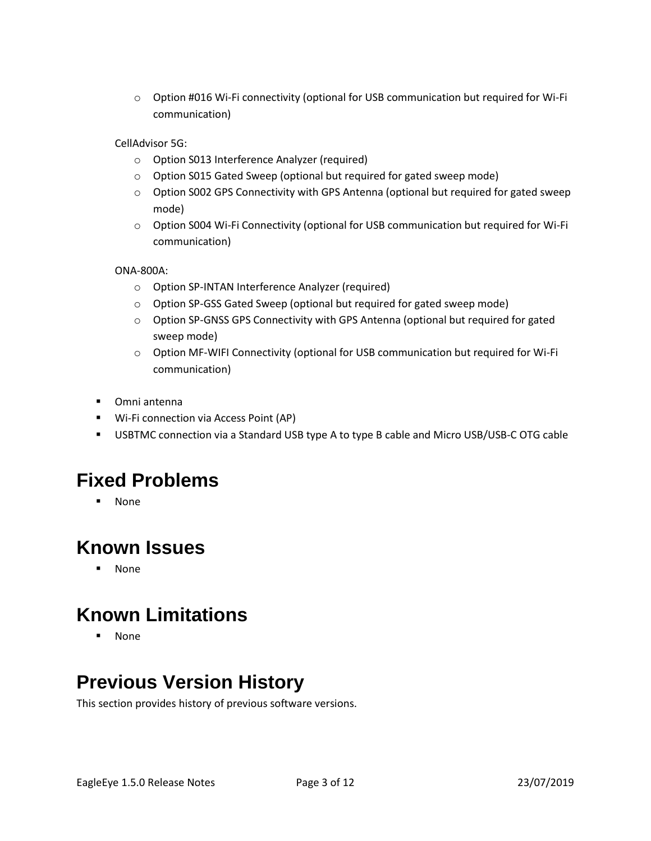o Option #016 Wi-Fi connectivity (optional for USB communication but required for Wi-Fi communication)

CellAdvisor 5G:

- o Option S013 Interference Analyzer (required)
- o Option S015 Gated Sweep (optional but required for gated sweep mode)
- o Option S002 GPS Connectivity with GPS Antenna (optional but required for gated sweep mode)
- o Option S004 Wi-Fi Connectivity (optional for USB communication but required for Wi-Fi communication)

ONA-800A:

- o Option SP-INTAN Interference Analyzer (required)
- o Option SP-GSS Gated Sweep (optional but required for gated sweep mode)
- $\circ$  Option SP-GNSS GPS Connectivity with GPS Antenna (optional but required for gated sweep mode)
- o Option MF-WIFI Connectivity (optional for USB communication but required for Wi-Fi communication)
- Omni antenna
- Wi-Fi connection via Access Point (AP)
- USBTMC connection via a Standard USB type A to type B cable and Micro USB/USB-C OTG cable

### <span id="page-2-0"></span>**Fixed Problems**

▪ None

### <span id="page-2-1"></span>**Known Issues**

▪ None

### <span id="page-2-2"></span>**Known Limitations**

▪ None

### <span id="page-2-3"></span>**Previous Version History**

This section provides history of previous software versions.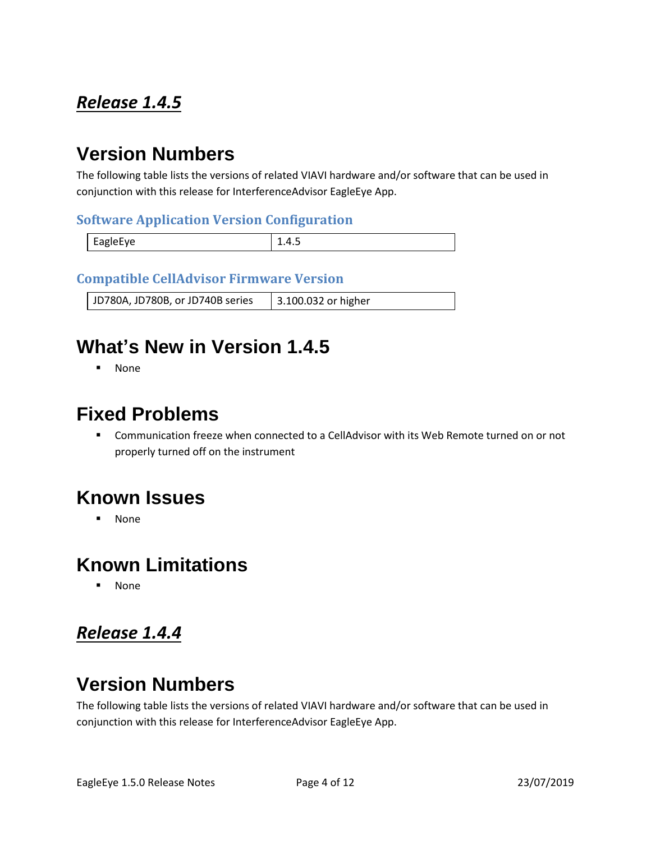### <span id="page-3-0"></span>*Release 1.4.5*

### **Version Numbers**

The following table lists the versions of related VIAVI hardware and/or software that can be used in conjunction with this release for InterferenceAdvisor EagleEye App.

#### **Software Application Version Configuration**

| -apierve<br>_<br>. |  |
|--------------------|--|

#### **Compatible CellAdvisor Firmware Version**

JD780A, JD780B, or JD740B series | 3.100.032 or higher

### **What's New in Version 1.4.5**

▪ None

### **Fixed Problems**

■ Communication freeze when connected to a CellAdvisor with its Web Remote turned on or not properly turned off on the instrument

### **Known Issues**

▪ None

### **Known Limitations**

**None** 

### <span id="page-3-1"></span>*Release 1.4.4*

### **Version Numbers**

The following table lists the versions of related VIAVI hardware and/or software that can be used in conjunction with this release for InterferenceAdvisor EagleEye App.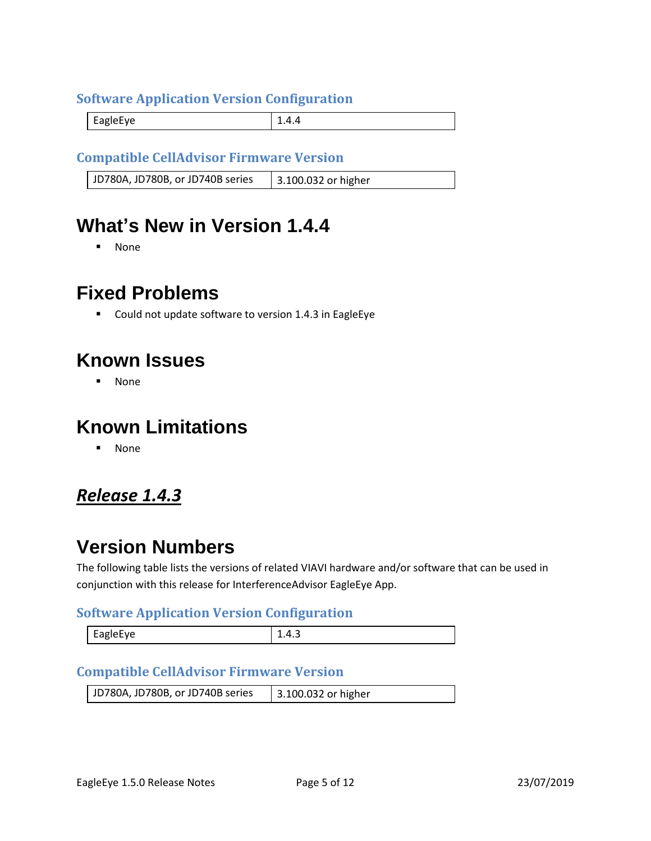#### **Software Application Version Configuration**

EagleEye 2.4.4

#### **Compatible CellAdvisor Firmware Version**

JD780A, JD780B, or JD740B series | 3.100.032 or higher

### **What's New in Version 1.4.4**

▪ None

### **Fixed Problems**

■ Could not update software to version 1.4.3 in EagleEye

### **Known Issues**

▪ None

### **Known Limitations**

▪ None

### <span id="page-4-0"></span>*Release 1.4.3*

### **Version Numbers**

The following table lists the versions of related VIAVI hardware and/or software that can be used in conjunction with this release for InterferenceAdvisor EagleEye App.

#### **Software Application Version Configuration**

| AVHAIQE<br>יס~– | ∸.−. |
|-----------------|------|
|-----------------|------|

#### **Compatible CellAdvisor Firmware Version**

| JD780A, JD780B, or JD740B series | 3.100.032 or higher |
|----------------------------------|---------------------|
|                                  |                     |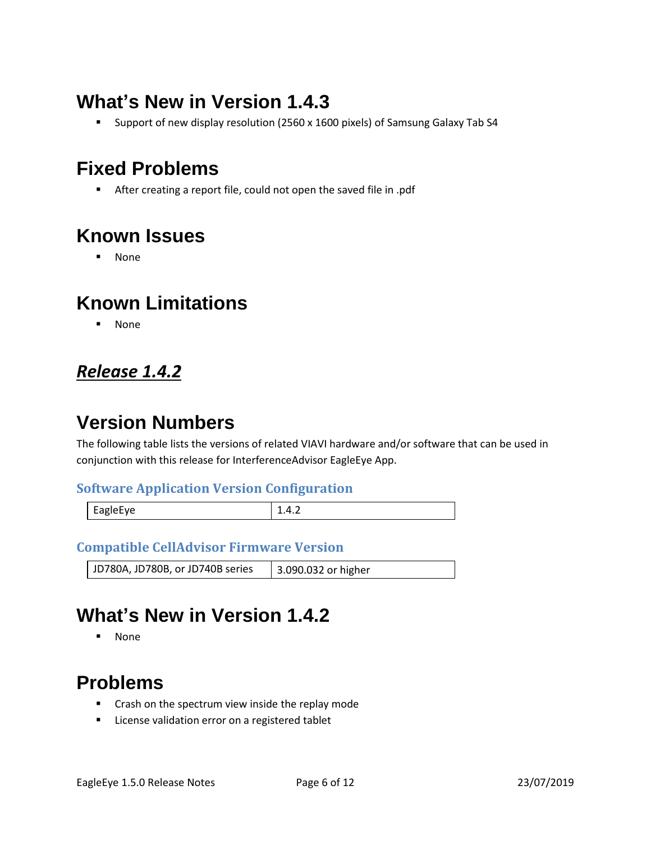# **What's New in Version 1.4.3**

■ Support of new display resolution (2560 x 1600 pixels) of Samsung Galaxy Tab S4

### **Fixed Problems**

■ After creating a report file, could not open the saved file in .pdf

### **Known Issues**

▪ None

### **Known Limitations**

▪ None

### <span id="page-5-0"></span>*Release 1.4.2*

## **Version Numbers**

The following table lists the versions of related VIAVI hardware and/or software that can be used in conjunction with this release for InterferenceAdvisor EagleEye App.

#### **Software Application Version Configuration**

| EagleEye | $\cdots$ |
|----------|----------|
|          |          |

#### **Compatible CellAdvisor Firmware Version**

JD780A, JD780B, or JD740B series | 3.090.032 or higher

## **What's New in Version 1.4.2**

▪ None

### **Problems**

- Crash on the spectrum view inside the replay mode
- License validation error on a registered tablet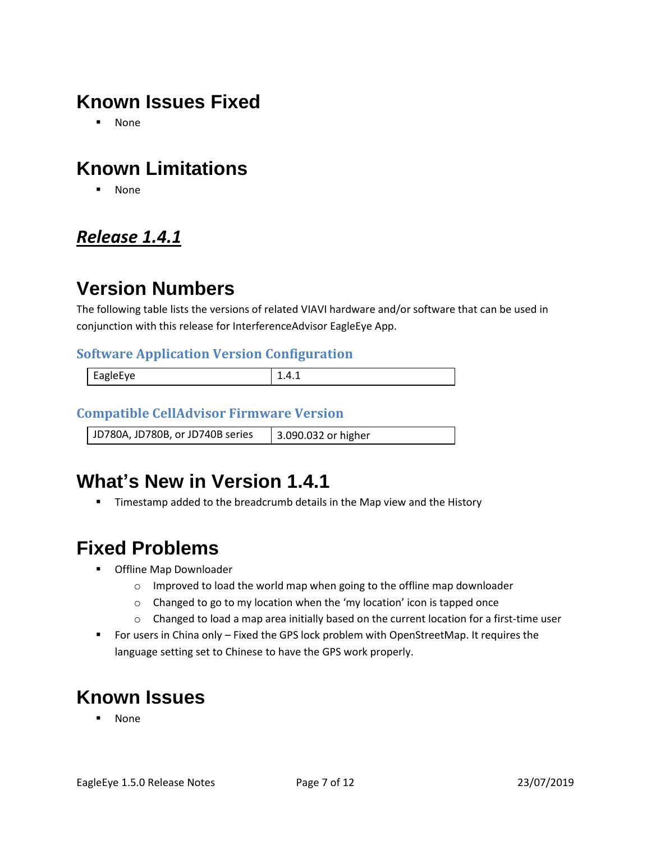## **Known Issues Fixed**

▪ None

## **Known Limitations**

▪ None

### <span id="page-6-0"></span>*Release 1.4.1*

## **Version Numbers**

The following table lists the versions of related VIAVI hardware and/or software that can be used in conjunction with this release for InterferenceAdvisor EagleEye App.

#### **Software Application Version Configuration**

| $\overline{ }$<br>.<br>н.<br><b>AUIPFVE</b><br>-- | ---- |
|---------------------------------------------------|------|
|                                                   |      |

#### **Compatible CellAdvisor Firmware Version**

JD780A, JD780B, or JD740B series 3.090.032 or higher

### **What's New in Version 1.4.1**

**■** Timestamp added to the breadcrumb details in the Map view and the History

### **Fixed Problems**

- Offline Map Downloader
	- o Improved to load the world map when going to the offline map downloader
	- o Changed to go to my location when the 'my location' icon is tapped once
	- $\circ$  Changed to load a map area initially based on the current location for a first-time user
- For users in China only Fixed the GPS lock problem with OpenStreetMap. It requires the language setting set to Chinese to have the GPS work properly.

# **Known Issues**

**None**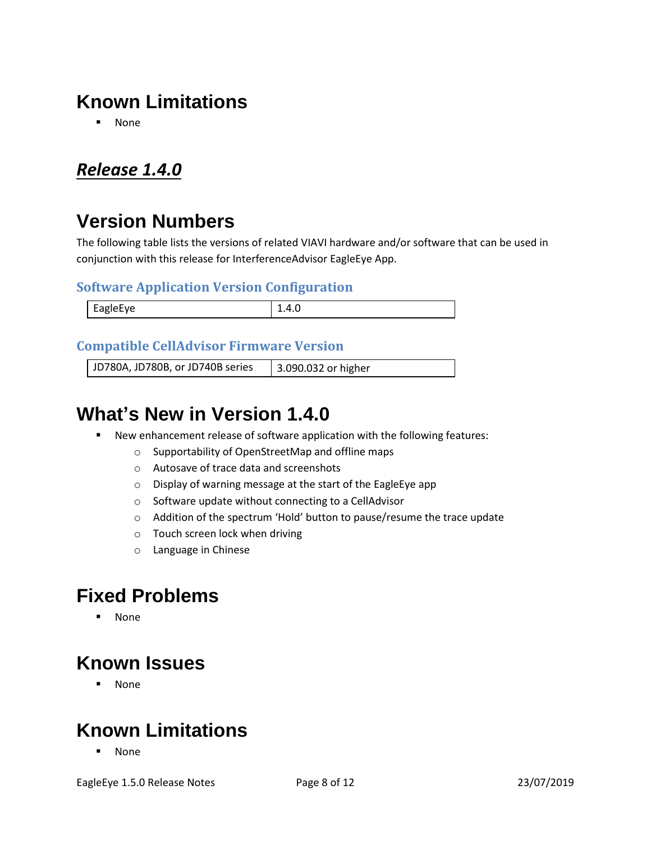# **Known Limitations**

▪ None

### <span id="page-7-0"></span>*Release 1.4.0*

## **Version Numbers**

The following table lists the versions of related VIAVI hardware and/or software that can be used in conjunction with this release for InterferenceAdvisor EagleEye App.

#### **Software Application Version Configuration**

| <b>FagleFve</b><br>$\sim$<br>$\sim$ $\sim$ | $\cdots$<br>______ |
|--------------------------------------------|--------------------|

#### **Compatible CellAdvisor Firmware Version**

JD780A, JD780B, or JD740B series 3.090.032 or higher

### **What's New in Version 1.4.0**

- New enhancement release of software application with the following features:
	- o Supportability of OpenStreetMap and offline maps
	- o Autosave of trace data and screenshots
	- o Display of warning message at the start of the EagleEye app
	- o Software update without connecting to a CellAdvisor
	- o Addition of the spectrum 'Hold' button to pause/resume the trace update
	- o Touch screen lock when driving
	- o Language in Chinese

### **Fixed Problems**

▪ None

### **Known Issues**

▪ None

### **Known Limitations**

▪ None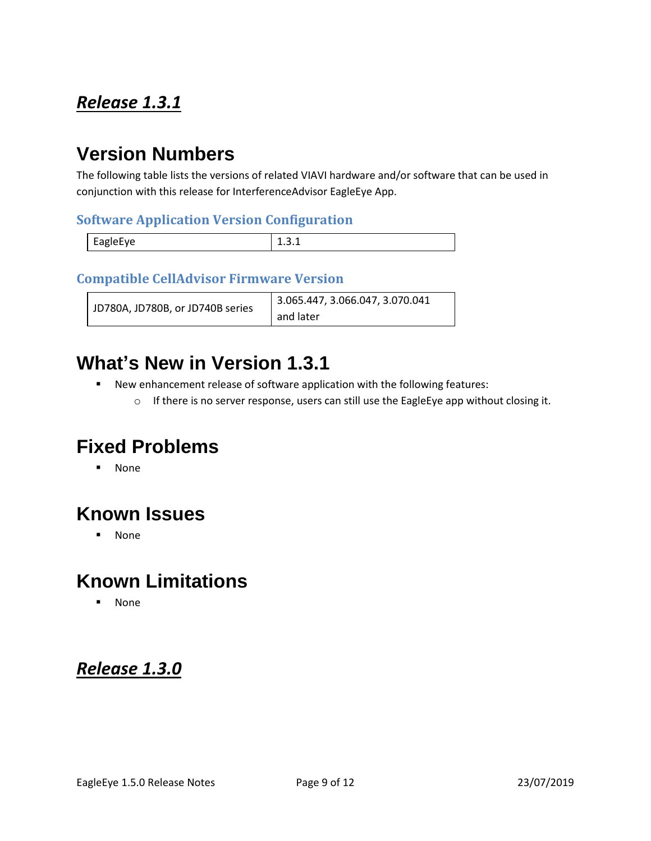### <span id="page-8-0"></span>*Release 1.3.1*

### **Version Numbers**

The following table lists the versions of related VIAVI hardware and/or software that can be used in conjunction with this release for InterferenceAdvisor EagleEye App.

#### **Software Application Version Configuration**

|          | - |
|----------|---|
| EagleEye |   |

#### **Compatible CellAdvisor Firmware Version**

|                                  | 3.065.447, 3.066.047, 3.070.041 |
|----------------------------------|---------------------------------|
| JD780A, JD780B, or JD740B series | and later                       |

### **What's New in Version 1.3.1**

- New enhancement release of software application with the following features:
	- o If there is no server response, users can still use the EagleEye app without closing it.

### **Fixed Problems**

▪ None

### **Known Issues**

▪ None

### **Known Limitations**

▪ None

### <span id="page-8-1"></span>*Release 1.3.0*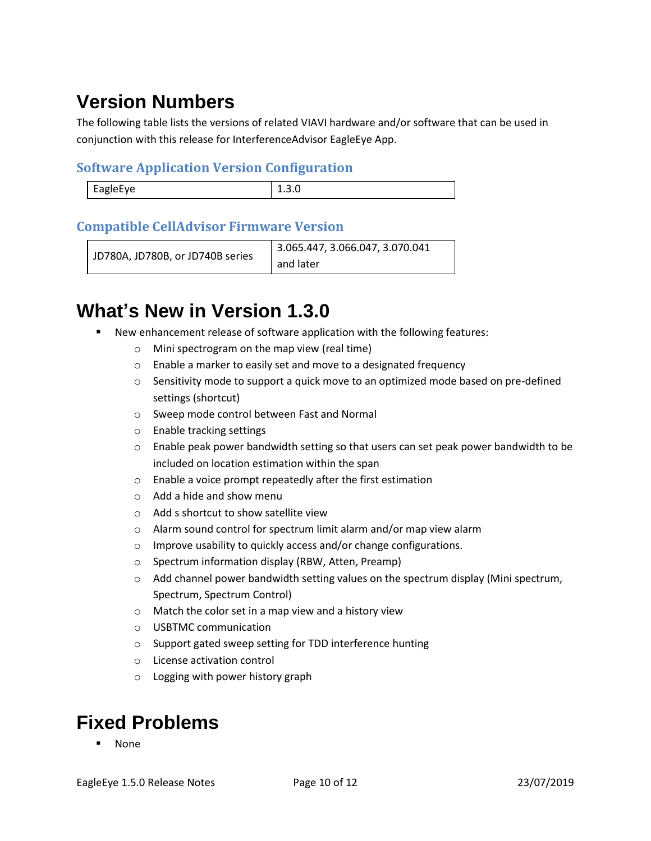# **Version Numbers**

The following table lists the versions of related VIAVI hardware and/or software that can be used in conjunction with this release for InterferenceAdvisor EagleEye App.

#### **Software Application Version Configuration**

| <b>FABIPFVP</b><br>Lupic- | - - - - - |
|---------------------------|-----------|
|                           |           |

#### **Compatible CellAdvisor Firmware Version**

```
JD780A, JD780B, or JD740B series
                         3.065.447, 3.066.047, 3.070.041 
                         and later
```
## **What's New in Version 1.3.0**

- New enhancement release of software application with the following features:
	- o Mini spectrogram on the map view (real time)
	- o Enable a marker to easily set and move to a designated frequency
	- $\circ$  Sensitivity mode to support a quick move to an optimized mode based on pre-defined settings (shortcut)
	- o Sweep mode control between Fast and Normal
	- o Enable tracking settings
	- $\circ$  Enable peak power bandwidth setting so that users can set peak power bandwidth to be included on location estimation within the span
	- o Enable a voice prompt repeatedly after the first estimation
	- o Add a hide and show menu
	- o Add s shortcut to show satellite view
	- o Alarm sound control for spectrum limit alarm and/or map view alarm
	- o Improve usability to quickly access and/or change configurations.
	- o Spectrum information display (RBW, Atten, Preamp)
	- $\circ$  Add channel power bandwidth setting values on the spectrum display (Mini spectrum, Spectrum, Spectrum Control)
	- o Match the color set in a map view and a history view
	- o USBTMC communication
	- o Support gated sweep setting for TDD interference hunting
	- o License activation control
	- o Logging with power history graph

## **Fixed Problems**

**None**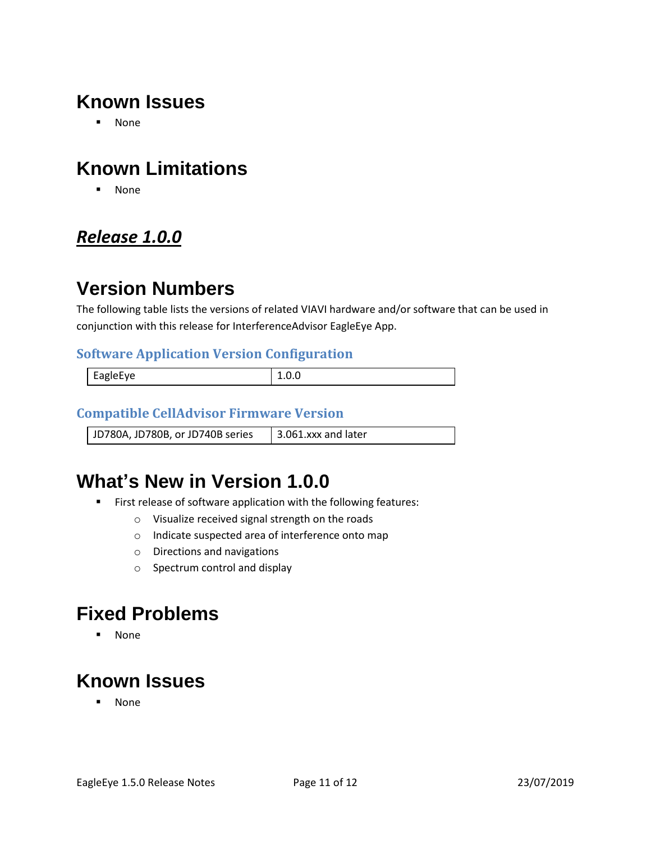### **Known Issues**

▪ None

## **Known Limitations**

▪ None

### <span id="page-10-0"></span>*Release 1.0.0*

### **Version Numbers**

The following table lists the versions of related VIAVI hardware and/or software that can be used in conjunction with this release for InterferenceAdvisor EagleEye App.

#### **Software Application Version Configuration**

| EagleEye |  |
|----------|--|
|          |  |

#### **Compatible CellAdvisor Firmware Version**

JD780A, JD780B, or JD740B series  $\parallel$  3.061.xxx and later

### **What's New in Version 1.0.0**

- First release of software application with the following features:
	- o Visualize received signal strength on the roads
	- o Indicate suspected area of interference onto map
	- o Directions and navigations
	- o Spectrum control and display

### **Fixed Problems**

▪ None

### **Known Issues**

▪ None